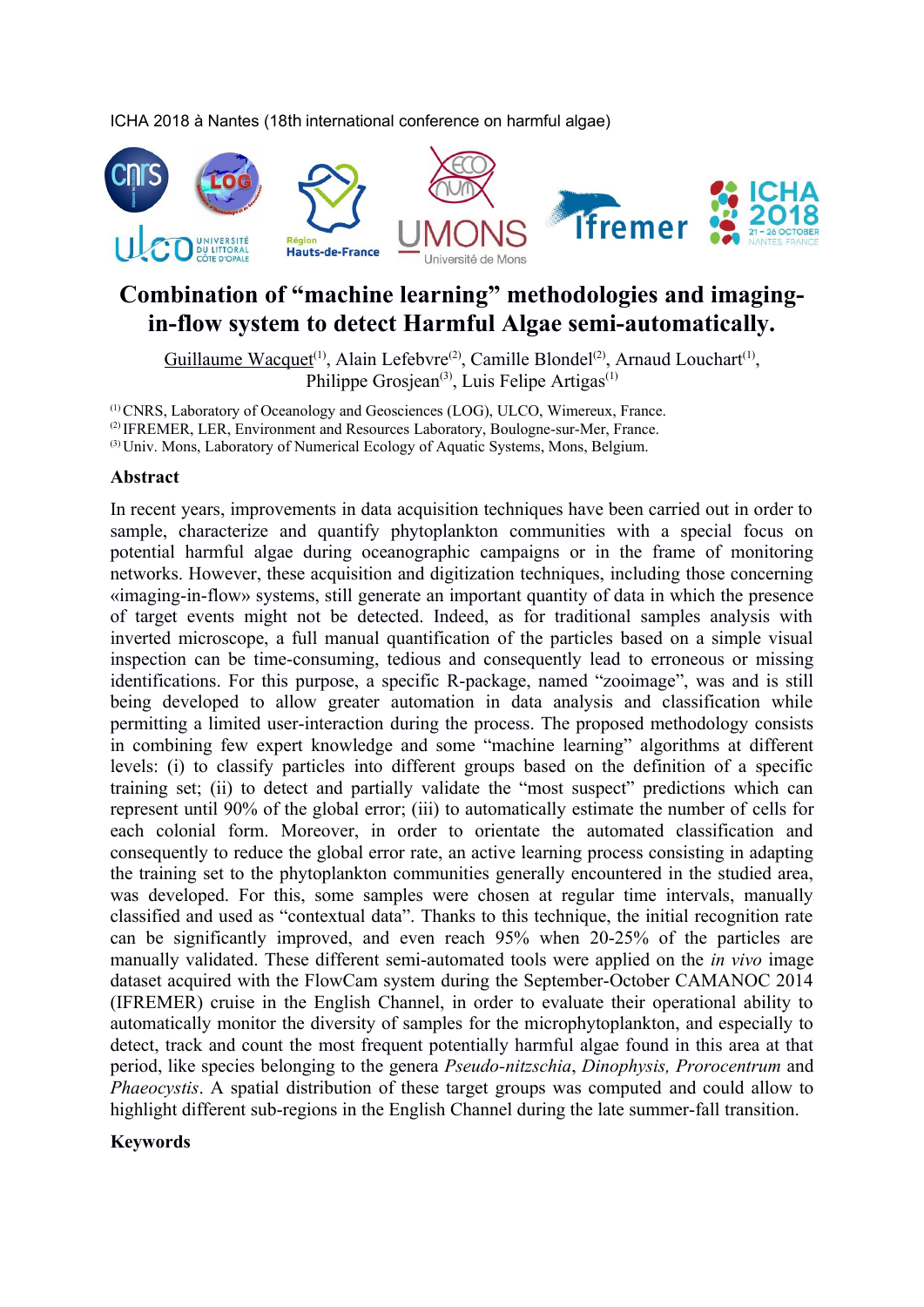ICHA 2018 à Nantes (18th international conference on harmful algae)



## **Combination of "machine learning" methodologies and imagingin-flow system to detect Harmful Algae semi-automatically.**

Guillaume Wacquet<sup>(1)</sup>, Alain Lefebvre<sup>(2)</sup>, Camille Blondel<sup>(2)</sup>, Arnaud Louchart<sup>(1)</sup>, Philippe Grosjean<sup>(3)</sup>, Luis Felipe Artigas<sup>(1)</sup>

(1) CNRS, Laboratory of Oceanology and Geosciences (LOG), ULCO, Wimereux, France. (2) IFREMER, LER, Environment and Resources Laboratory, Boulogne-sur-Mer, France. (3) Univ. Mons, Laboratory of Numerical Ecology of Aquatic Systems, Mons, Belgium.

## **Abstract**

In recent years, improvements in data acquisition techniques have been carried out in order to sample, characterize and quantify phytoplankton communities with a special focus on potential harmful algae during oceanographic campaigns or in the frame of monitoring networks. However, these acquisition and digitization techniques, including those concerning «imaging-in-flow» systems, still generate an important quantity of data in which the presence of target events might not be detected. Indeed, as for traditional samples analysis with inverted microscope, a full manual quantification of the particles based on a simple visual inspection can be time-consuming, tedious and consequently lead to erroneous or missing identifications. For this purpose, a specific R-package, named "zooimage", was and is still being developed to allow greater automation in data analysis and classification while permitting a limited user-interaction during the process. The proposed methodology consists in combining few expert knowledge and some "machine learning" algorithms at different levels: (i) to classify particles into different groups based on the definition of a specific training set; (ii) to detect and partially validate the "most suspect" predictions which can represent until 90% of the global error; (iii) to automatically estimate the number of cells for each colonial form. Moreover, in order to orientate the automated classification and consequently to reduce the global error rate, an active learning process consisting in adapting the training set to the phytoplankton communities generally encountered in the studied area, was developed. For this, some samples were chosen at regular time intervals, manually classified and used as "contextual data". Thanks to this technique, the initial recognition rate can be significantly improved, and even reach 95% when 20-25% of the particles are manually validated. These different semi-automated tools were applied on the *in vivo* image dataset acquired with the FlowCam system during the September-October CAMANOC 2014 (IFREMER) cruise in the English Channel, in order to evaluate their operational ability to automatically monitor the diversity of samples for the microphytoplankton, and especially to detect, track and count the most frequent potentially harmful algae found in this area at that period, like species belonging to the genera *Pseudo-nitzschia*, *Dinophysis, Prorocentrum* and *Phaeocystis*. A spatial distribution of these target groups was computed and could allow to highlight different sub-regions in the English Channel during the late summer-fall transition.

## **Keywords**